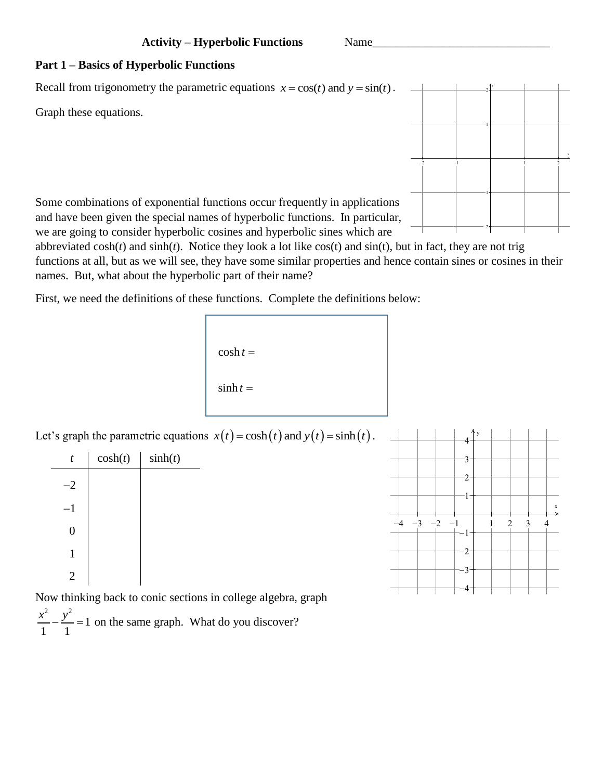## **Part 1 – Basics of Hyperbolic Functions**

Recall from trigonometry the parametric equations  $x = cos(t)$  and  $y = sin(t)$ .

Graph these equations.



Some combinations of exponential functions occur frequently in applications and have been given the special names of hyperbolic functions. In particular, we are going to consider hyperbolic cosines and hyperbolic sines which are

abbreviated cosh(*t*) and sinh(*t*). Notice they look a lot like cos(t) and sin(t), but in fact, they are not trig functions at all, but as we will see, they have some similar properties and hence contain sines or cosines in their names. But, what about the hyperbolic part of their name?

First, we need the definitions of these functions. Complete the definitions below:

```
\cosh t =\sinh t =
```
Let's graph the parametric equations  $x(t) = \cosh(t)$  and  $y(t) = \sinh(t)$ .

| t                | $\cosh(t)$ | sinh(t) |
|------------------|------------|---------|
| $-2$             |            |         |
| $-1$             |            |         |
| $\boldsymbol{0}$ |            |         |
| 1                |            |         |
| $\overline{c}$   |            |         |



Now thinking back to conic sections in college algebra, graph 2 2 1 1 1  $\frac{x^2}{x^2} - \frac{y^2}{x^2} = 1$  on the same graph. What do you discover?